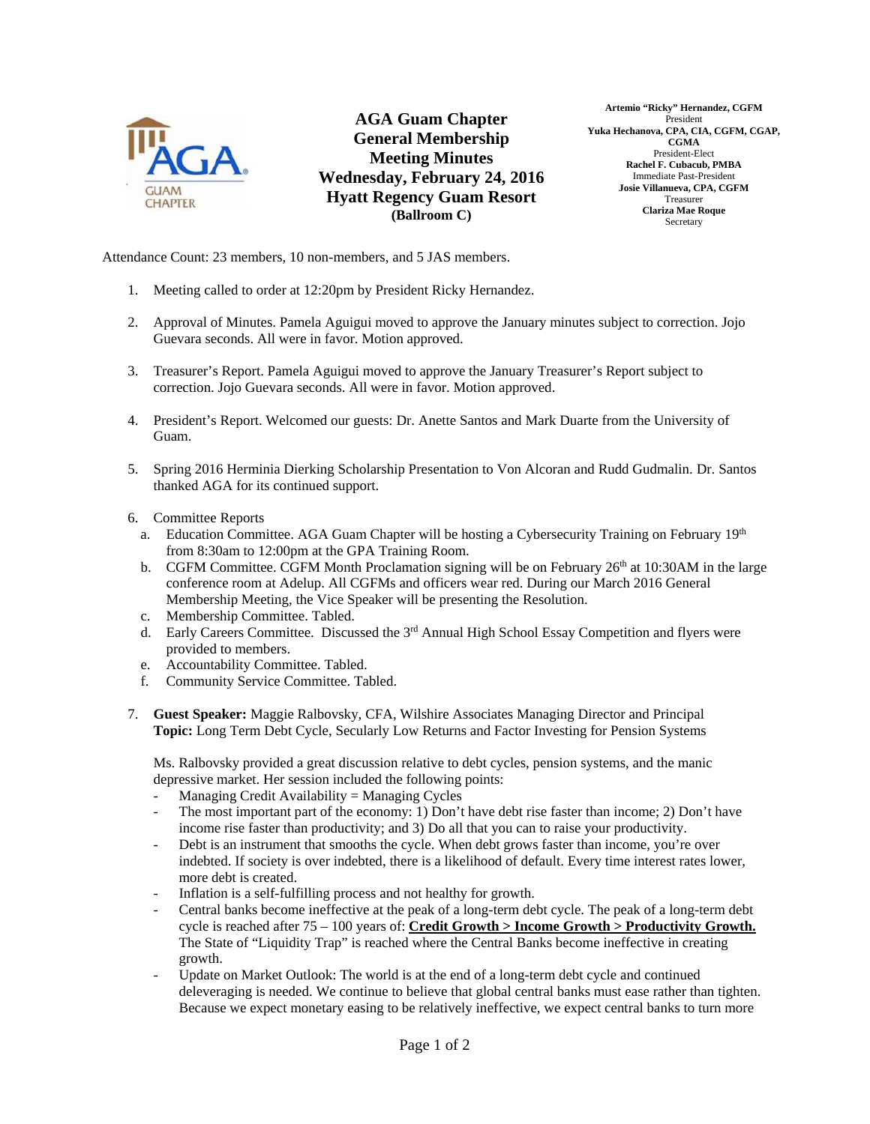

**AGA Guam Chapter General Membership Meeting Minutes Wednesday, February 24, 2016 Hyatt Regency Guam Resort (Ballroom C)** 

**Artemio "Ricky" Hernandez, CGFM**  President **Yuka Hechanova, CPA, CIA, CGFM, CGAP, CGMA**  President-Elect **Rachel F. Cubacub, PMBA**  Immediate Past-President **Josie Villanueva, CPA, CGFM**  Treasurer **Clariza Mae Roque Secretary** 

Attendance Count: 23 members, 10 non-members, and 5 JAS members.

- 1. Meeting called to order at 12:20pm by President Ricky Hernandez.
- 2. Approval of Minutes. Pamela Aguigui moved to approve the January minutes subject to correction. Jojo Guevara seconds. All were in favor. Motion approved.
- 3. Treasurer's Report. Pamela Aguigui moved to approve the January Treasurer's Report subject to correction. Jojo Guevara seconds. All were in favor. Motion approved.
- 4. President's Report. Welcomed our guests: Dr. Anette Santos and Mark Duarte from the University of Guam.
- 5. Spring 2016 Herminia Dierking Scholarship Presentation to Von Alcoran and Rudd Gudmalin. Dr. Santos thanked AGA for its continued support.
- 6. Committee Reports
	- a. Education Committee. AGA Guam Chapter will be hosting a Cybersecurity Training on February 19th from 8:30am to 12:00pm at the GPA Training Room.
	- b. CGFM Committee. CGFM Month Proclamation signing will be on February  $26<sup>th</sup>$  at 10:30AM in the large conference room at Adelup. All CGFMs and officers wear red. During our March 2016 General Membership Meeting, the Vice Speaker will be presenting the Resolution.
	- c. Membership Committee. Tabled.
	- d. Early Careers Committee. Discussed the 3<sup>rd</sup> Annual High School Essay Competition and flyers were provided to members.
	- e. Accountability Committee. Tabled.
	- f. Community Service Committee. Tabled.
- 7. **Guest Speaker:** Maggie Ralbovsky, CFA, Wilshire Associates Managing Director and Principal **Topic:** Long Term Debt Cycle, Secularly Low Returns and Factor Investing for Pension Systems

Ms. Ralbovsky provided a great discussion relative to debt cycles, pension systems, and the manic depressive market. Her session included the following points:

- Managing Credit Availability = Managing Cycles
- The most important part of the economy: 1) Don't have debt rise faster than income; 2) Don't have income rise faster than productivity; and 3) Do all that you can to raise your productivity.
- Debt is an instrument that smooths the cycle. When debt grows faster than income, you're over indebted. If society is over indebted, there is a likelihood of default. Every time interest rates lower, more debt is created.
- Inflation is a self-fulfilling process and not healthy for growth.
- Central banks become ineffective at the peak of a long-term debt cycle. The peak of a long-term debt cycle is reached after 75 – 100 years of: **Credit Growth > Income Growth > Productivity Growth.** The State of "Liquidity Trap" is reached where the Central Banks become ineffective in creating growth.
- Update on Market Outlook: The world is at the end of a long-term debt cycle and continued deleveraging is needed. We continue to believe that global central banks must ease rather than tighten. Because we expect monetary easing to be relatively ineffective, we expect central banks to turn more